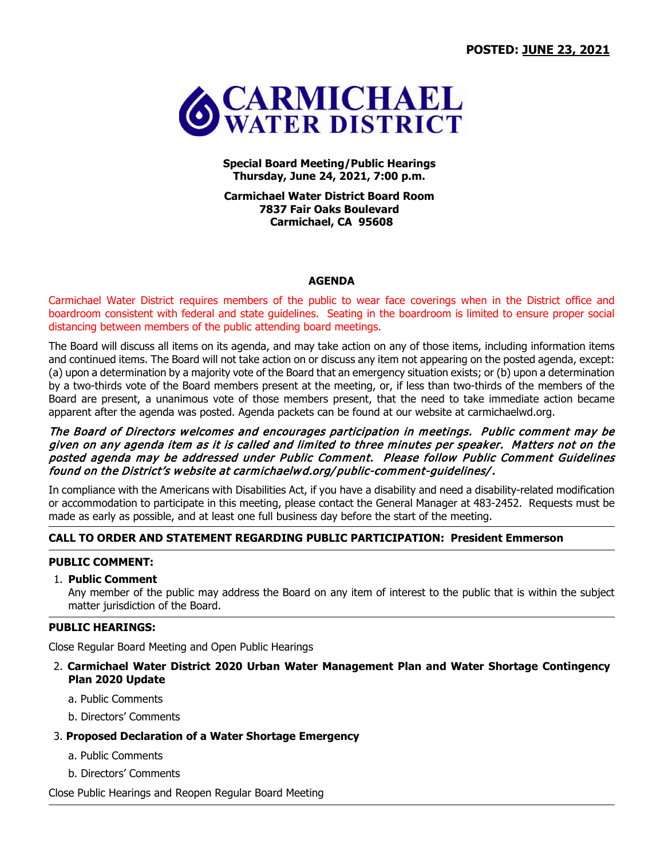

**Special Board Meeting/Public Hearings Thursday, June 24, 2021, 7:00 p.m.**

**Carmichael Water District Board Room 7837 Fair Oaks Boulevard Carmichael, CA 95608**

#### **AGENDA**

Carmichael Water District requires members of the public to wear face coverings when in the District office and boardroom consistent with federal and state guidelines. Seating in the boardroom is limited to ensure proper social distancing between members of the public attending board meetings.

The Board will discuss all items on its agenda, and may take action on any of those items, including information items and continued items. The Board will not take action on or discuss any item not appearing on the posted agenda, except: (a) upon a determination by a majority vote of the Board that an emergency situation exists; or (b) upon a determination by a two-thirds vote of the Board members present at the meeting, or, if less than two-thirds of the members of the Board are present, a unanimous vote of those members present, that the need to take immediate action became apparent after the agenda was posted. Agenda packets can be found at our website at carmichaelwd.org.

## The Board of Directors welcomes and encourages participation in meetings. Public comment may be given on any agenda item as it is called and limited to three minutes per speaker. Matters not on the posted agenda may be addressed under Public Comment. Please follow Public Comment Guidelines found on the District's website at carmichaelwd.org/ public-comment-guidelines/.

In compliance with the Americans with Disabilities Act, if you have a disability and need a disability-related modification or accommodation to participate in this meeting, please contact the General Manager at 483-2452. Requests must be made as early as possible, and at least one full business day before the start of the meeting.

# **CALL TO ORDER AND STATEMENT REGARDING PUBLIC PARTICIPATION: President Emmerson**

### **PUBLIC COMMENT:**

## 1. **Public Comment**

Any member of the public may address the Board on any item of interest to the public that is within the subject matter jurisdiction of the Board.

#### **PUBLIC HEARINGS:**

Close Regular Board Meeting and Open Public Hearings

- 2. **Carmichael Water District 2020 Urban Water Management Plan and Water Shortage Contingency Plan 2020 Update**
	- a. Public Comments
	- b. Directors' Comments

#### 3. **Proposed Declaration of a Water Shortage Emergency**

- a. Public Comments
- b. Directors' Comments

Close Public Hearings and Reopen Regular Board Meeting